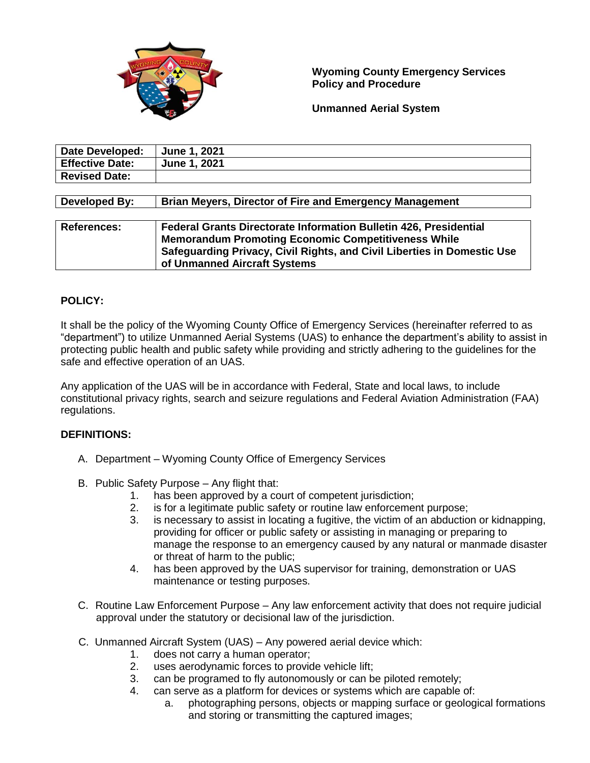

## **Wyoming County Emergency Services Policy and Procedure**

**Unmanned Aerial System**

| <b>Date Developed:</b> | <b>June 1, 2021</b> |
|------------------------|---------------------|
| <b>Effective Date:</b> | <b>June 1, 2021</b> |
| <b>Revised Date:</b>   |                     |
|                        |                     |

**Developed By: Brian Meyers, Director of Fire and Emergency Management**

| <b>References:</b> | <b>Federal Grants Directorate Information Bulletin 426, Presidential</b> |
|--------------------|--------------------------------------------------------------------------|
|                    | <b>Memorandum Promoting Economic Competitiveness While</b>               |
|                    | Safeguarding Privacy, Civil Rights, and Civil Liberties in Domestic Use  |
|                    | of Unmanned Aircraft Systems                                             |

# **POLICY:**

It shall be the policy of the Wyoming County Office of Emergency Services (hereinafter referred to as "department") to utilize Unmanned Aerial Systems (UAS) to enhance the department's ability to assist in protecting public health and public safety while providing and strictly adhering to the guidelines for the safe and effective operation of an UAS.

Any application of the UAS will be in accordance with Federal, State and local laws, to include constitutional privacy rights, search and seizure regulations and Federal Aviation Administration (FAA) regulations.

## **DEFINITIONS:**

- A. Department Wyoming County Office of Emergency Services
- B. Public Safety Purpose Any flight that:
	- 1. has been approved by a court of competent jurisdiction;
	- 2. is for a legitimate public safety or routine law enforcement purpose;
	- 3. is necessary to assist in locating a fugitive, the victim of an abduction or kidnapping, providing for officer or public safety or assisting in managing or preparing to manage the response to an emergency caused by any natural or manmade disaster or threat of harm to the public;
	- 4. has been approved by the UAS supervisor for training, demonstration or UAS maintenance or testing purposes.
- C. Routine Law Enforcement Purpose Any law enforcement activity that does not require judicial approval under the statutory or decisional law of the jurisdiction.
- C. Unmanned Aircraft System (UAS) Any powered aerial device which:
	- 1. does not carry a human operator;<br>2. uses aerodynamic forces to provic
	- uses aerodynamic forces to provide vehicle lift;
	- 3. can be programed to fly autonomously or can be piloted remotely;
	- 4. can serve as a platform for devices or systems which are capable of:
		- a. photographing persons, objects or mapping surface or geological formations and storing or transmitting the captured images;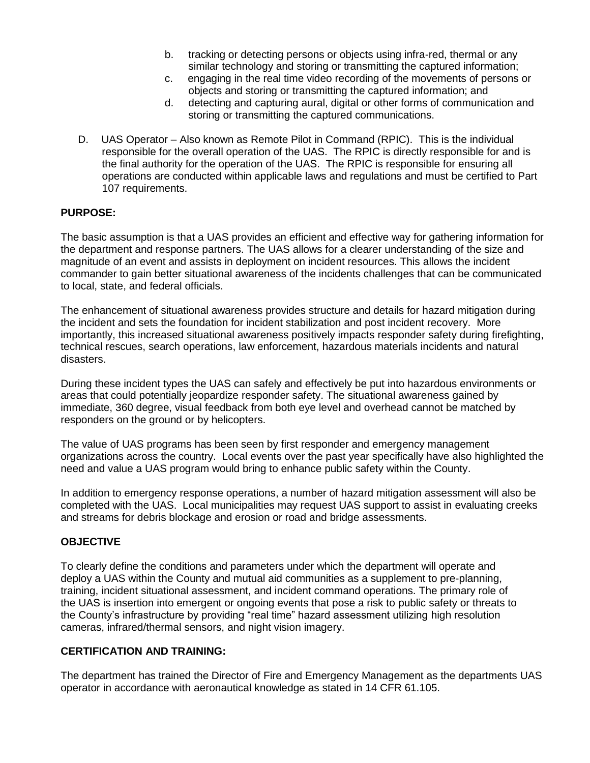- b. tracking or detecting persons or objects using infra-red, thermal or any similar technology and storing or transmitting the captured information;
- c. engaging in the real time video recording of the movements of persons or objects and storing or transmitting the captured information; and
- d. detecting and capturing aural, digital or other forms of communication and storing or transmitting the captured communications.
- D. UAS Operator Also known as Remote Pilot in Command (RPIC). This is the individual responsible for the overall operation of the UAS. The RPIC is directly responsible for and is the final authority for the operation of the UAS. The RPIC is responsible for ensuring all operations are conducted within applicable laws and regulations and must be certified to Part 107 requirements.

### **PURPOSE:**

The basic assumption is that a UAS provides an efficient and effective way for gathering information for the department and response partners. The UAS allows for a clearer understanding of the size and magnitude of an event and assists in deployment on incident resources. This allows the incident commander to gain better situational awareness of the incidents challenges that can be communicated to local, state, and federal officials.

The enhancement of situational awareness provides structure and details for hazard mitigation during the incident and sets the foundation for incident stabilization and post incident recovery. More importantly, this increased situational awareness positively impacts responder safety during firefighting, technical rescues, search operations, law enforcement, hazardous materials incidents and natural disasters.

During these incident types the UAS can safely and effectively be put into hazardous environments or areas that could potentially jeopardize responder safety. The situational awareness gained by immediate, 360 degree, visual feedback from both eye level and overhead cannot be matched by responders on the ground or by helicopters.

The value of UAS programs has been seen by first responder and emergency management organizations across the country. Local events over the past year specifically have also highlighted the need and value a UAS program would bring to enhance public safety within the County.

In addition to emergency response operations, a number of hazard mitigation assessment will also be completed with the UAS. Local municipalities may request UAS support to assist in evaluating creeks and streams for debris blockage and erosion or road and bridge assessments.

## **OBJECTIVE**

To clearly define the conditions and parameters under which the department will operate and deploy a UAS within the County and mutual aid communities as a supplement to pre-planning, training, incident situational assessment, and incident command operations. The primary role of the UAS is insertion into emergent or ongoing events that pose a risk to public safety or threats to the County's infrastructure by providing "real time" hazard assessment utilizing high resolution cameras, infrared/thermal sensors, and night vision imagery.

#### **CERTIFICATION AND TRAINING:**

The department has trained the Director of Fire and Emergency Management as the departments UAS operator in accordance with aeronautical knowledge as stated in 14 CFR 61.105.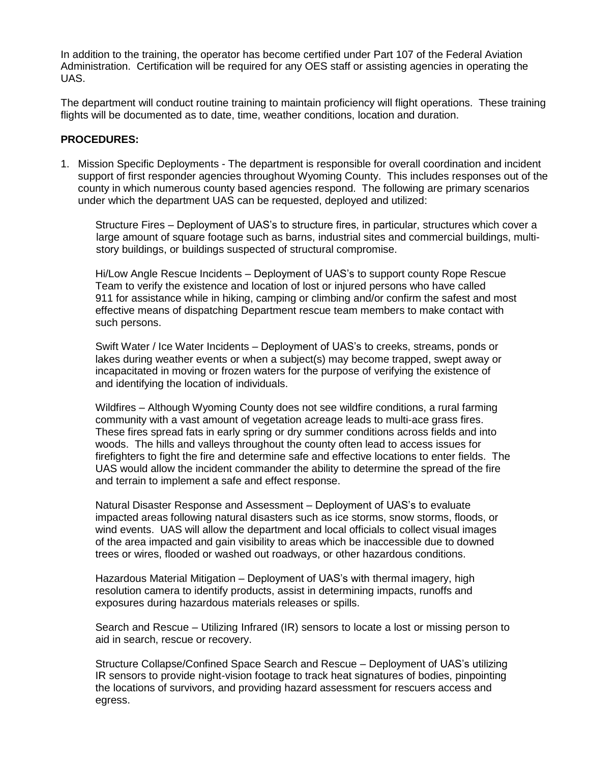In addition to the training, the operator has become certified under Part 107 of the Federal Aviation Administration. Certification will be required for any OES staff or assisting agencies in operating the UAS.

The department will conduct routine training to maintain proficiency will flight operations. These training flights will be documented as to date, time, weather conditions, location and duration.

### **PROCEDURES:**

1. Mission Specific Deployments - The department is responsible for overall coordination and incident support of first responder agencies throughout Wyoming County. This includes responses out of the county in which numerous county based agencies respond. The following are primary scenarios under which the department UAS can be requested, deployed and utilized:

Structure Fires – Deployment of UAS's to structure fires, in particular, structures which cover a large amount of square footage such as barns, industrial sites and commercial buildings, multi story buildings, or buildings suspected of structural compromise.

Hi/Low Angle Rescue Incidents – Deployment of UAS's to support county Rope Rescue Team to verify the existence and location of lost or injured persons who have called 911 for assistance while in hiking, camping or climbing and/or confirm the safest and most effective means of dispatching Department rescue team members to make contact with such persons.

Swift Water / Ice Water Incidents – Deployment of UAS's to creeks, streams, ponds or lakes during weather events or when a subject(s) may become trapped, swept away or incapacitated in moving or frozen waters for the purpose of verifying the existence of and identifying the location of individuals.

Wildfires – Although Wyoming County does not see wildfire conditions, a rural farming community with a vast amount of vegetation acreage leads to multi-ace grass fires. These fires spread fats in early spring or dry summer conditions across fields and into woods. The hills and valleys throughout the county often lead to access issues for firefighters to fight the fire and determine safe and effective locations to enter fields. The UAS would allow the incident commander the ability to determine the spread of the fire and terrain to implement a safe and effect response.

Natural Disaster Response and Assessment – Deployment of UAS's to evaluate impacted areas following natural disasters such as ice storms, snow storms, floods, or wind events. UAS will allow the department and local officials to collect visual images of the area impacted and gain visibility to areas which be inaccessible due to downed trees or wires, flooded or washed out roadways, or other hazardous conditions.

Hazardous Material Mitigation – Deployment of UAS's with thermal imagery, high resolution camera to identify products, assist in determining impacts, runoffs and exposures during hazardous materials releases or spills.

Search and Rescue – Utilizing Infrared (IR) sensors to locate a lost or missing person to aid in search, rescue or recovery.

Structure Collapse/Confined Space Search and Rescue – Deployment of UAS's utilizing IR sensors to provide night-vision footage to track heat signatures of bodies, pinpointing the locations of survivors, and providing hazard assessment for rescuers access and egress.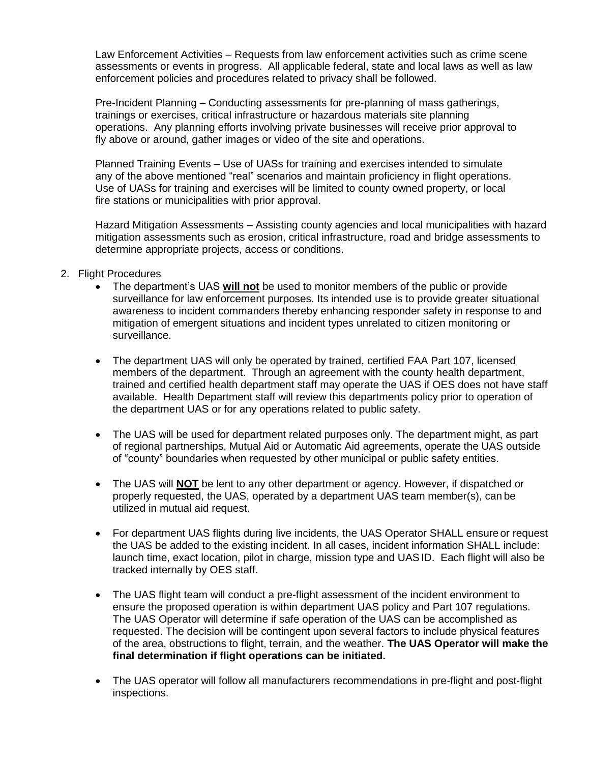Law Enforcement Activities – Requests from law enforcement activities such as crime scene assessments or events in progress. All applicable federal, state and local laws as well as law enforcement policies and procedures related to privacy shall be followed.

Pre-Incident Planning – Conducting assessments for pre-planning of mass gatherings, trainings or exercises, critical infrastructure or hazardous materials site planning operations. Any planning efforts involving private businesses will receive prior approval to fly above or around, gather images or video of the site and operations.

Planned Training Events – Use of UASs for training and exercises intended to simulate any of the above mentioned "real" scenarios and maintain proficiency in flight operations. Use of UASs for training and exercises will be limited to county owned property, or local fire stations or municipalities with prior approval.

 Hazard Mitigation Assessments – Assisting county agencies and local municipalities with hazard mitigation assessments such as erosion, critical infrastructure, road and bridge assessments to determine appropriate projects, access or conditions.

- 2. Flight Procedures
	- The department's UAS **will not** be used to monitor members of the public or provide surveillance for law enforcement purposes. Its intended use is to provide greater situational awareness to incident commanders thereby enhancing responder safety in response to and mitigation of emergent situations and incident types unrelated to citizen monitoring or surveillance.
	- The department UAS will only be operated by trained, certified FAA Part 107, licensed members of the department. Through an agreement with the county health department, trained and certified health department staff may operate the UAS if OES does not have staff available. Health Department staff will review this departments policy prior to operation of the department UAS or for any operations related to public safety.
	- The UAS will be used for department related purposes only. The department might, as part of regional partnerships, Mutual Aid or Automatic Aid agreements, operate the UAS outside of "county" boundaries when requested by other municipal or public safety entities.
	- The UAS will **NOT** be lent to any other department or agency. However, if dispatched or properly requested, the UAS, operated by a department UAS team member(s), can be utilized in mutual aid request.
	- For department UAS flights during live incidents, the UAS Operator SHALL ensure or request the UAS be added to the existing incident. In all cases, incident information SHALL include: launch time, exact location, pilot in charge, mission type and UASID. Each flight will also be tracked internally by OES staff.
	- The UAS flight team will conduct a pre-flight assessment of the incident environment to ensure the proposed operation is within department UAS policy and Part 107 regulations. The UAS Operator will determine if safe operation of the UAS can be accomplished as requested. The decision will be contingent upon several factors to include physical features of the area, obstructions to flight, terrain, and the weather. **The UAS Operator will make the final determination if flight operations can be initiated.**
	- The UAS operator will follow all manufacturers recommendations in pre-flight and post-flight inspections.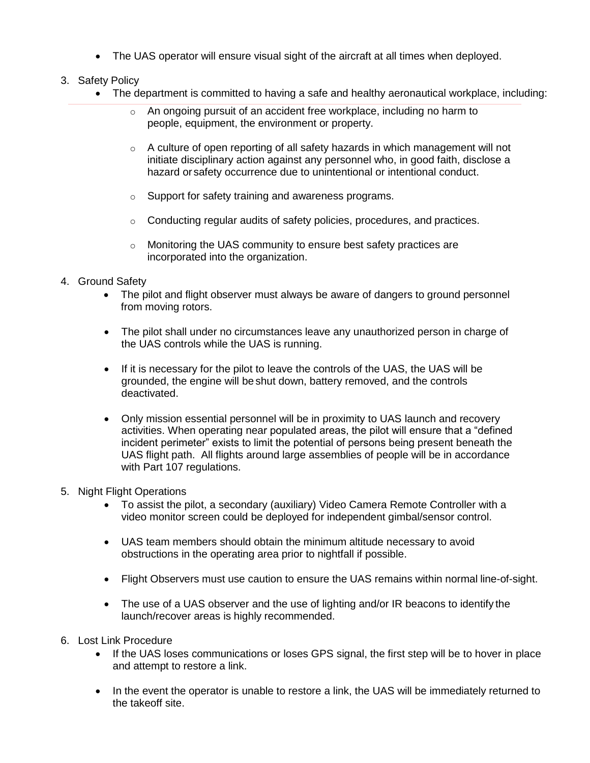The UAS operator will ensure visual sight of the aircraft at all times when deployed.

# 3. Safety Policy

- The department is committed to having a safe and healthy aeronautical workplace, including:
	- o An ongoing pursuit of an accident free workplace, including no harm to people, equipment, the environment or property.
	- $\circ$  A culture of open reporting of all safety hazards in which management will not initiate disciplinary action against any personnel who, in good faith, disclose a hazard or safety occurrence due to unintentional or intentional conduct.
	- o Support for safety training and awareness programs.
	- o Conducting regular audits of safety policies, procedures, and practices.
	- o Monitoring the UAS community to ensure best safety practices are incorporated into the organization.

## 4. Ground Safety

- The pilot and flight observer must always be aware of dangers to ground personnel from moving rotors.
- The pilot shall under no circumstances leave any unauthorized person in charge of the UAS controls while the UAS is running.
- If it is necessary for the pilot to leave the controls of the UAS, the UAS will be grounded, the engine will be shut down, battery removed, and the controls deactivated.
- Only mission essential personnel will be in proximity to UAS launch and recovery activities. When operating near populated areas, the pilot will ensure that a "defined incident perimeter" exists to limit the potential of persons being present beneath the UAS flight path. All flights around large assemblies of people will be in accordance with Part 107 regulations.
- 5. Night Flight Operations
	- To assist the pilot, a secondary (auxiliary) Video Camera Remote Controller with a video monitor screen could be deployed for independent gimbal/sensor control.
	- UAS team members should obtain the minimum altitude necessary to avoid obstructions in the operating area prior to nightfall if possible.
	- Flight Observers must use caution to ensure the UAS remains within normal line-of-sight.
	- The use of a UAS observer and the use of lighting and/or IR beacons to identify the launch/recover areas is highly recommended.
- 6. Lost Link Procedure
	- If the UAS loses communications or loses GPS signal, the first step will be to hover in place and attempt to restore a link.
	- In the event the operator is unable to restore a link, the UAS will be immediately returned to the takeoff site.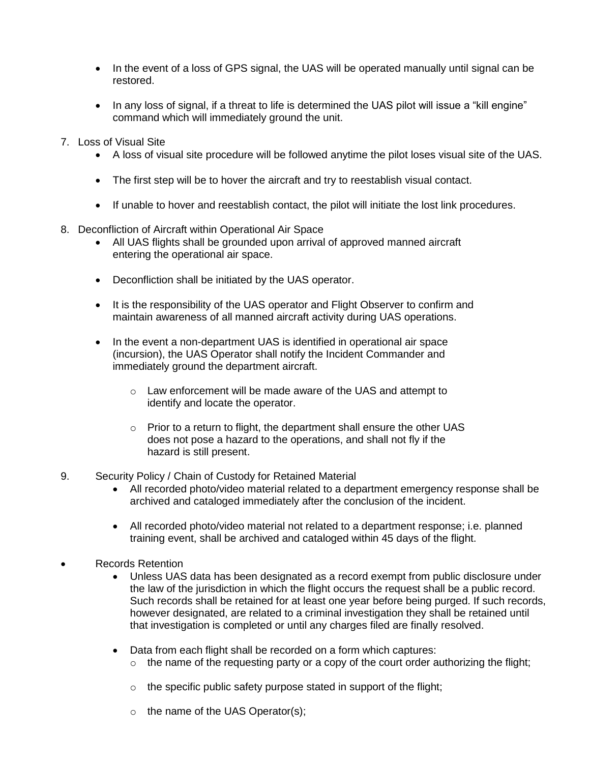- In the event of a loss of GPS signal, the UAS will be operated manually until signal can be restored.
- In any loss of signal, if a threat to life is determined the UAS pilot will issue a "kill engine" command which will immediately ground the unit.
- 7. Loss of Visual Site
	- A loss of visual site procedure will be followed anytime the pilot loses visual site of the UAS.
	- The first step will be to hover the aircraft and try to reestablish visual contact.
	- If unable to hover and reestablish contact, the pilot will initiate the lost link procedures.
- 8. Deconfliction of Aircraft within Operational Air Space
	- All UAS flights shall be grounded upon arrival of approved manned aircraft entering the operational air space.
	- Deconfliction shall be initiated by the UAS operator.
	- It is the responsibility of the UAS operator and Flight Observer to confirm and maintain awareness of all manned aircraft activity during UAS operations.
	- In the event a non-department UAS is identified in operational air space (incursion), the UAS Operator shall notify the Incident Commander and immediately ground the department aircraft.
		- o Law enforcement will be made aware of the UAS and attempt to identify and locate the operator.
		- $\circ$  Prior to a return to flight, the department shall ensure the other UAS does not pose a hazard to the operations, and shall not fly if the hazard is still present.
- 9. Security Policy / Chain of Custody for Retained Material
	- All recorded photo/video material related to a department emergency response shall be archived and cataloged immediately after the conclusion of the incident.
	- All recorded photo/video material not related to a department response; i.e. planned training event, shall be archived and cataloged within 45 days of the flight.
- Records Retention
	- Unless UAS data has been designated as a record exempt from public disclosure under the law of the jurisdiction in which the flight occurs the request shall be a public record. Such records shall be retained for at least one year before being purged. If such records, however designated, are related to a criminal investigation they shall be retained until that investigation is completed or until any charges filed are finally resolved.
	- Data from each flight shall be recorded on a form which captures:
		- $\circ$  the name of the requesting party or a copy of the court order authorizing the flight;
		- $\circ$  the specific public safety purpose stated in support of the flight;
		- o the name of the UAS Operator(s);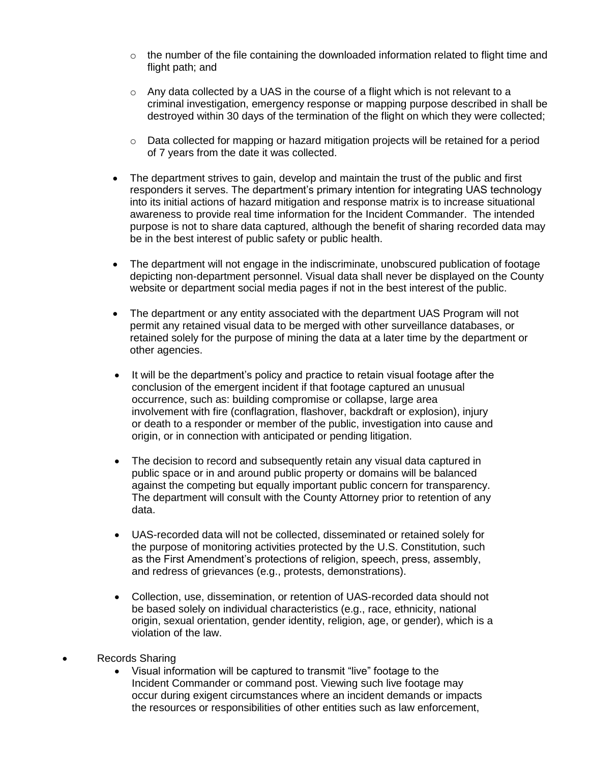- $\circ$  the number of the file containing the downloaded information related to flight time and flight path; and
- $\circ$  Any data collected by a UAS in the course of a flight which is not relevant to a criminal investigation, emergency response or mapping purpose described in shall be destroyed within 30 days of the termination of the flight on which they were collected;
- o Data collected for mapping or hazard mitigation projects will be retained for a period of 7 years from the date it was collected.
- The department strives to gain, develop and maintain the trust of the public and first responders it serves. The department's primary intention for integrating UAS technology into its initial actions of hazard mitigation and response matrix is to increase situational awareness to provide real time information for the Incident Commander. The intended purpose is not to share data captured, although the benefit of sharing recorded data may be in the best interest of public safety or public health.
- The department will not engage in the indiscriminate, unobscured publication of footage depicting non-department personnel. Visual data shall never be displayed on the County website or department social media pages if not in the best interest of the public.
- The department or any entity associated with the department UAS Program will not permit any retained visual data to be merged with other surveillance databases, or retained solely for the purpose of mining the data at a later time by the department or other agencies.
- It will be the department's policy and practice to retain visual footage after the conclusion of the emergent incident if that footage captured an unusual occurrence, such as: building compromise or collapse, large area involvement with fire (conflagration, flashover, backdraft or explosion), injury or death to a responder or member of the public, investigation into cause and origin, or in connection with anticipated or pending litigation.
- The decision to record and subsequently retain any visual data captured in public space or in and around public property or domains will be balanced against the competing but equally important public concern for transparency. The department will consult with the County Attorney prior to retention of any data.
- UAS-recorded data will not be collected, disseminated or retained solely for the purpose of monitoring activities protected by the U.S. Constitution, such as the First Amendment's protections of religion, speech, press, assembly, and redress of grievances (e.g., protests, demonstrations).
- Collection, use, dissemination, or retention of UAS-recorded data should not be based solely on individual characteristics (e.g., race, ethnicity, national origin, sexual orientation, gender identity, religion, age, or gender), which is a violation of the law.
- Records Sharing
	- Visual information will be captured to transmit "live" footage to the Incident Commander or command post. Viewing such live footage may occur during exigent circumstances where an incident demands or impacts the resources or responsibilities of other entities such as law enforcement,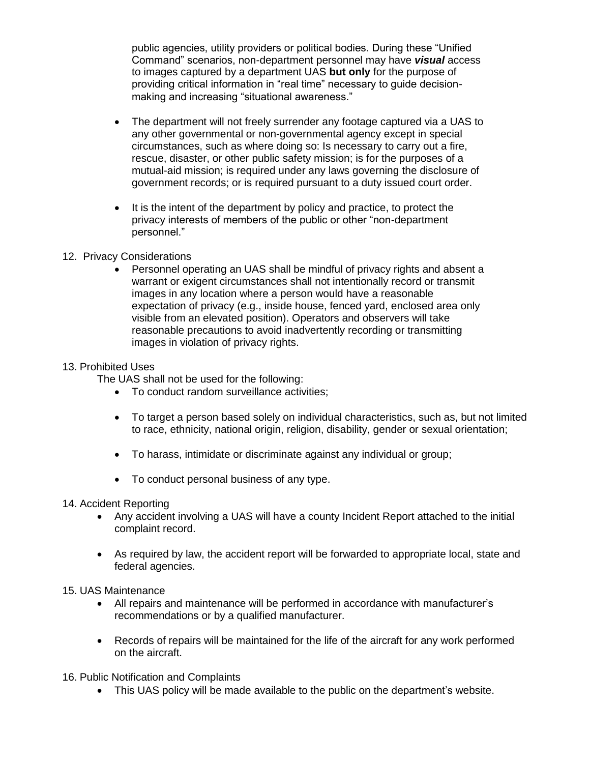public agencies, utility providers or political bodies. During these "Unified Command" scenarios, non-department personnel may have *visual* access to images captured by a department UAS **but only** for the purpose of providing critical information in "real time" necessary to guide decisionmaking and increasing "situational awareness."

- The department will not freely surrender any footage captured via a UAS to any other governmental or non-governmental agency except in special circumstances, such as where doing so: Is necessary to carry out a fire, rescue, disaster, or other public safety mission; is for the purposes of a mutual-aid mission; is required under any laws governing the disclosure of government records; or is required pursuant to a duty issued court order.
- It is the intent of the department by policy and practice, to protect the privacy interests of members of the public or other "non-department personnel."

### 12. Privacy Considerations

 Personnel operating an UAS shall be mindful of privacy rights and absent a warrant or exigent circumstances shall not intentionally record or transmit images in any location where a person would have a reasonable expectation of privacy (e.g., inside house, fenced yard, enclosed area only visible from an elevated position). Operators and observers will take reasonable precautions to avoid inadvertently recording or transmitting images in violation of privacy rights.

#### 13. Prohibited Uses

The UAS shall not be used for the following:

- To conduct random surveillance activities;
- To target a person based solely on individual characteristics, such as, but not limited to race, ethnicity, national origin, religion, disability, gender or sexual orientation;
- To harass, intimidate or discriminate against any individual or group;
- To conduct personal business of any type.
- 14. Accident Reporting
	- Any accident involving a UAS will have a county Incident Report attached to the initial complaint record.
	- As required by law, the accident report will be forwarded to appropriate local, state and federal agencies.
- 15. UAS Maintenance
	- All repairs and maintenance will be performed in accordance with manufacturer's recommendations or by a qualified manufacturer.
	- Records of repairs will be maintained for the life of the aircraft for any work performed on the aircraft.
- 16. Public Notification and Complaints
	- This UAS policy will be made available to the public on the department's website.